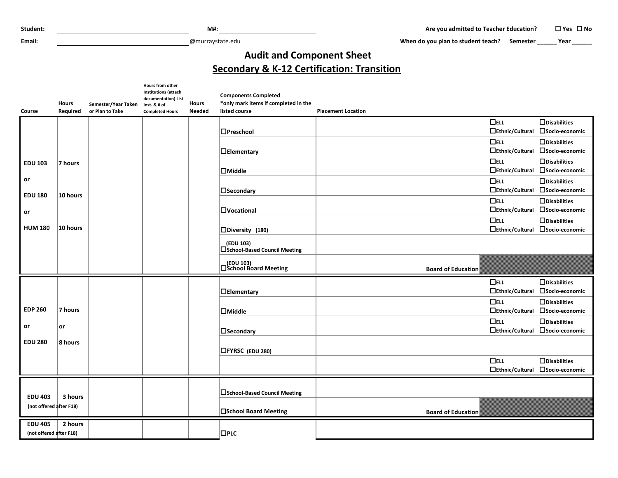**Email:** @murraystate.edu

When do you plan to student teach? Semester **\_\_\_\_\_** Year **\_\_\_\_\_** 

## **Audit and Component Sheet Secondary & K-12 Certification: Transition**

|                         |                          |                                        | Hours from other<br><b>Institutions (attach</b><br>documentation) List |                               | <b>Components Completed</b>                           |                           |                     |
|-------------------------|--------------------------|----------------------------------------|------------------------------------------------------------------------|-------------------------------|-------------------------------------------------------|---------------------------|---------------------|
| Course                  | <b>Hours</b><br>Required | Semester/Year Taken<br>or Plan to Take | Inst. & # of<br><b>Completed Hours</b>                                 | <b>Hours</b><br><b>Needed</b> | *only mark items if completed in the<br>listed course | <b>Placement Location</b> |                     |
|                         |                          |                                        |                                                                        |                               |                                                       | $\Box$ ELL                | $\Box$ Disabilities |
|                         |                          |                                        |                                                                        |                               | $\Box$ Preschool                                      | $\Box$ Ethnic/Cultural    | □Socio-economic     |
|                         |                          |                                        |                                                                        |                               |                                                       | $\Box$ ELL                | $\Box$ Disabilities |
|                         |                          |                                        |                                                                        |                               | $\Box$ Elementary                                     | $\Box$ Ethnic/Cultural    | □Socio-economic     |
| <b>EDU 103</b>          | 7 hours                  |                                        |                                                                        |                               |                                                       | $\Box$ ELL                | $\Box$ Disabilities |
|                         |                          |                                        |                                                                        |                               | $\Box$ Middle                                         | $\Box$ Ethnic/Cultural    | □Socio-economic     |
| or                      |                          |                                        |                                                                        |                               |                                                       | $\Box$ ELL                | $\Box$ Disabilities |
| <b>EDU 180</b>          | 10 hours                 |                                        |                                                                        |                               | <b>Necondary</b>                                      | $\Box$ Ethnic/Cultural    | □Socio-economic     |
|                         |                          |                                        |                                                                        |                               |                                                       | $\Box$ ELL                | $\Box$ Disabilities |
| or                      |                          |                                        |                                                                        |                               | <b>OVocational</b>                                    | $\Box$ Ethnic/Cultural    | □Socio-economic     |
|                         |                          |                                        |                                                                        |                               |                                                       | $\Box$ ELL                | $\Box$ Disabilities |
| <b>HUM 180</b>          | 10 hours                 |                                        |                                                                        |                               | □Diversity (180)                                      | □Ethnic/Cultural          | □Socio-economic     |
|                         |                          |                                        |                                                                        |                               | (EDU 103)<br>□School-Based Council Meeting            |                           |                     |
|                         |                          |                                        |                                                                        |                               | (EDU 103)                                             |                           |                     |
|                         |                          |                                        |                                                                        |                               |                                                       |                           |                     |
|                         |                          |                                        |                                                                        |                               | □School Board Meeting                                 | <b>Board of Education</b> |                     |
|                         |                          |                                        |                                                                        |                               |                                                       | $\Box$ ELL                | $\Box$ Disabilities |
|                         |                          |                                        |                                                                        |                               | $\Box$ Elementary                                     | □Ethnic/Cultural          | □Socio-economic     |
|                         |                          |                                        |                                                                        |                               |                                                       | $\Box$ ELL                | $\Box$ Disabilities |
| <b>EDP 260</b>          | 7 hours                  |                                        |                                                                        |                               | $\Box$ Middle                                         | $\Box$ Ethnic/Cultural    | □Socio-economic     |
|                         |                          |                                        |                                                                        |                               |                                                       | $\Box$ ELL                | $\Box$ Disabilities |
| or                      | or                       |                                        |                                                                        |                               | $\Box$ Secondary                                      | $\Box$ Ethnic/Cultural    | □Socio-economic     |
| <b>EDU 280</b>          | 8 hours                  |                                        |                                                                        |                               |                                                       |                           |                     |
|                         |                          |                                        |                                                                        |                               | <b>□FYRSC</b> (EDU 280)                               |                           |                     |
|                         |                          |                                        |                                                                        |                               |                                                       | $\Box$ ELL                | $\Box$ Disabilities |
|                         |                          |                                        |                                                                        |                               |                                                       | □Ethnic/Cultural          | □Socio-economic     |
|                         |                          |                                        |                                                                        |                               |                                                       |                           |                     |
| <b>EDU 403</b>          | 3 hours                  |                                        |                                                                        |                               | <b>□School-Based Council Meeting</b>                  |                           |                     |
| (not offered after F18) |                          |                                        |                                                                        |                               | □School Board Meeting                                 | <b>Board of Education</b> |                     |
| <b>EDU 405</b>          | 2 hours                  |                                        |                                                                        |                               |                                                       |                           |                     |